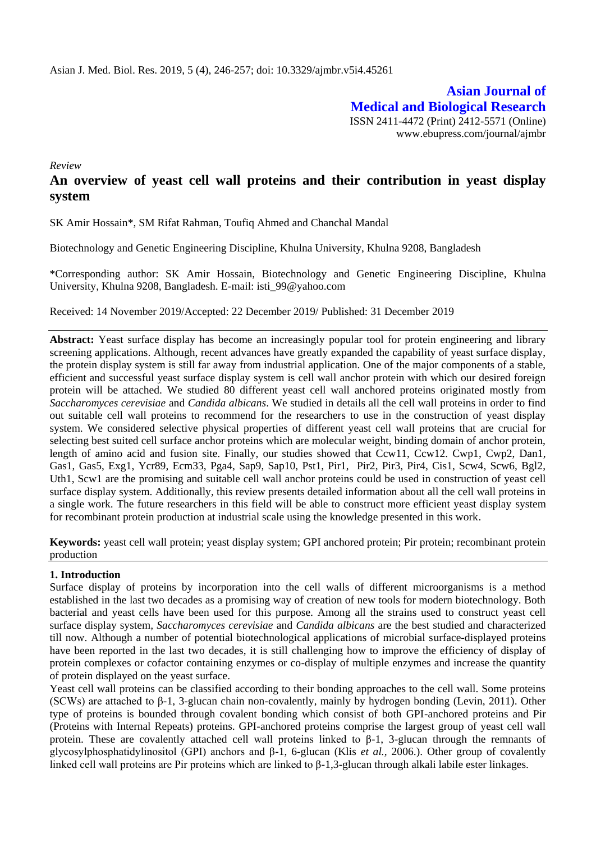**Asian Journal of Medical and Biological Research** ISSN 2411-4472 (Print) 2412-5571 (Online) www.ebupress.com/journal/ajmbr

*Review*

# **An overview of yeast cell wall proteins and their contribution in yeast display system**

SK Amir Hossain\*, SM Rifat Rahman, Toufiq Ahmed and Chanchal Mandal

Biotechnology and Genetic Engineering Discipline, Khulna University, Khulna 9208, Bangladesh

\*Corresponding author: SK Amir Hossain, Biotechnology and Genetic Engineering Discipline, Khulna University, Khulna 9208, Bangladesh. E-mail: [isti\\_99@yahoo.com](mailto:isti_99@yahoo.com)

Received: 14 November 2019/Accepted: 22 December 2019/ Published: 31 December 2019

**Abstract:** Yeast surface display has become an increasingly popular tool for protein engineering and library screening applications. Although, recent advances have greatly expanded the capability of yeast surface display, the protein display system is still far away from industrial application. One of the major components of a stable, efficient and successful yeast surface display system is cell wall anchor protein with which our desired foreign protein will be attached. We studied 80 different yeast cell wall anchored proteins originated mostly from *Saccharomyces cerevisiae* and *Candida albicans*. We studied in details all the cell wall proteins in order to find out suitable cell wall proteins to recommend for the researchers to use in the construction of yeast display system. We considered selective physical properties of different yeast cell wall proteins that are crucial for selecting best suited cell surface anchor proteins which are molecular weight, binding domain of anchor protein, length of amino acid and fusion site. Finally, our studies showed that Ccw11, Ccw12. Cwp1, Cwp2, Dan1, Gas1, Gas5, Exg1, Ycr89, Ecm33, Pga4, Sap9, Sap10, Pst1, Pir1, Pir2, Pir3, Pir4, Cis1, Scw4, Scw6, Bgl2, Uth1, Scw1 are the promising and suitable cell wall anchor proteins could be used in construction of yeast cell surface display system. Additionally, this review presents detailed information about all the cell wall proteins in a single work. The future researchers in this field will be able to construct more efficient yeast display system for recombinant protein production at industrial scale using the knowledge presented in this work.

**Keywords:** yeast cell wall protein; yeast display system; GPI anchored protein; Pir protein; recombinant protein production

### **1. Introduction**

Surface display of proteins by incorporation into the cell walls of different microorganisms is a method established in the last two decades as a promising way of creation of new tools for modern biotechnology. Both bacterial and yeast cells have been used for this purpose. Among all the strains used to construct yeast cell surface display system*, Saccharomyces cerevisiae* and *Candida albicans* are the best studied and characterized till now. Although a number of potential biotechnological applications of microbial surface-displayed proteins have been reported in the last two decades, it is still challenging how to improve the efficiency of display of protein complexes or cofactor containing enzymes or co-display of multiple enzymes and increase the quantity of protein displayed on the yeast surface.

Yeast cell wall proteins can be classified according to their bonding approaches to the cell wall. Some proteins (SCWs) are attached to β-1, 3-glucan chain non-covalently, mainly by hydrogen bonding (Levin, 2011). Other type of proteins is bounded through covalent bonding which consist of both GPI-anchored proteins and Pir (Proteins with Internal Repeats) proteins. GPI-anchored proteins comprise the largest group of yeast cell wall protein. These are covalently attached cell wall proteins linked to β-1, 3-glucan through the remnants of glycosylphosphatidylinositol (GPI) anchors and β-1, 6-glucan (Klis *et al.,* 2006.). Other group of covalently linked cell wall proteins are Pir proteins which are linked to β-1,3-glucan through alkali labile ester linkages.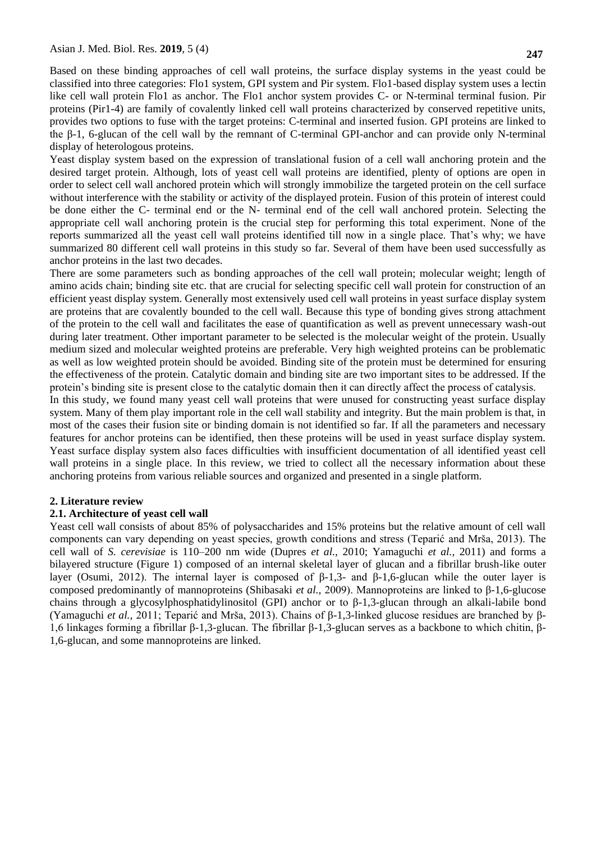Based on these binding approaches of cell wall proteins, the surface display systems in the yeast could be classified into three categories: Flo1 system, GPI system and Pir system. Flo1-based display system uses a lectin like cell wall protein Flo1 as anchor. The Flo1 anchor system provides C- or N-terminal terminal fusion. Pir proteins (Pir1-4) are family of covalently linked cell wall proteins characterized by conserved repetitive units, provides two options to fuse with the target proteins: C-terminal and inserted fusion. GPI proteins are linked to the β-1, 6-glucan of the cell wall by the remnant of C-terminal GPI-anchor and can provide only N-terminal display of heterologous proteins.

Yeast display system based on the expression of translational fusion of a cell wall anchoring protein and the desired target protein. Although, lots of yeast cell wall proteins are identified, plenty of options are open in order to select cell wall anchored protein which will strongly immobilize the targeted protein on the cell surface without interference with the stability or activity of the displayed protein. Fusion of this protein of interest could be done either the C- terminal end or the N- terminal end of the cell wall anchored protein. Selecting the appropriate cell wall anchoring protein is the crucial step for performing this total experiment. None of the reports summarized all the yeast cell wall proteins identified till now in a single place. That's why; we have summarized 80 different cell wall proteins in this study so far. Several of them have been used successfully as anchor proteins in the last two decades.

There are some parameters such as bonding approaches of the cell wall protein; molecular weight; length of amino acids chain; binding site etc. that are crucial for selecting specific cell wall protein for construction of an efficient yeast display system. Generally most extensively used cell wall proteins in yeast surface display system are proteins that are covalently bounded to the cell wall. Because this type of bonding gives strong attachment of the protein to the cell wall and facilitates the ease of quantification as well as prevent unnecessary wash-out during later treatment. Other important parameter to be selected is the molecular weight of the protein. Usually medium sized and molecular weighted proteins are preferable. Very high weighted proteins can be problematic as well as low weighted protein should be avoided. Binding site of the protein must be determined for ensuring the effectiveness of the protein. Catalytic domain and binding site are two important sites to be addressed. If the protein's binding site is present close to the catalytic domain then it can directly affect the process of catalysis.

In this study, we found many yeast cell wall proteins that were unused for constructing yeast surface display system. Many of them play important role in the cell wall stability and integrity. But the main problem is that, in most of the cases their fusion site or binding domain is not identified so far. If all the parameters and necessary features for anchor proteins can be identified, then these proteins will be used in yeast surface display system. Yeast surface display system also faces difficulties with insufficient documentation of all identified yeast cell wall proteins in a single place. In this review, we tried to collect all the necessary information about these anchoring proteins from various reliable sources and organized and presented in a single platform.

#### **2. Literature review**

### **2.1. Architecture of yeast cell wall**

Yeast cell wall consists of about 85% of polysaccharides and 15% proteins but the relative amount of cell wall components can vary depending on yeast species, growth conditions and stress (Teparić and Mrša, 2013). The cell wall of *S. cerevisiae* is 110–200 nm wide (Dupres *et al.,* 2010; Yamaguchi *et al.,* 2011) and forms a bilayered structure (Figure 1) composed of an internal skeletal layer of glucan and a fibrillar brush-like outer layer (Osumi, 2012). The internal layer is composed of β-1,3- and β-1,6-glucan while the outer layer is composed predominantly of mannoproteins (Shibasaki *et al.,* 2009). Mannoproteins are linked to β-1,6-glucose chains through a glycosylphosphatidylinositol (GPI) anchor or to β-1,3-glucan through an alkali-labile bond (Yamaguchi *et al.,* 2011; Teparić and Mrša, 2013). Chains of β-1,3-linked glucose residues are branched by β-1,6 linkages forming a fibrillar β-1,3-glucan. The fibrillar β-1,3-glucan serves as a backbone to which chitin, β-1,6-glucan, and some mannoproteins are linked.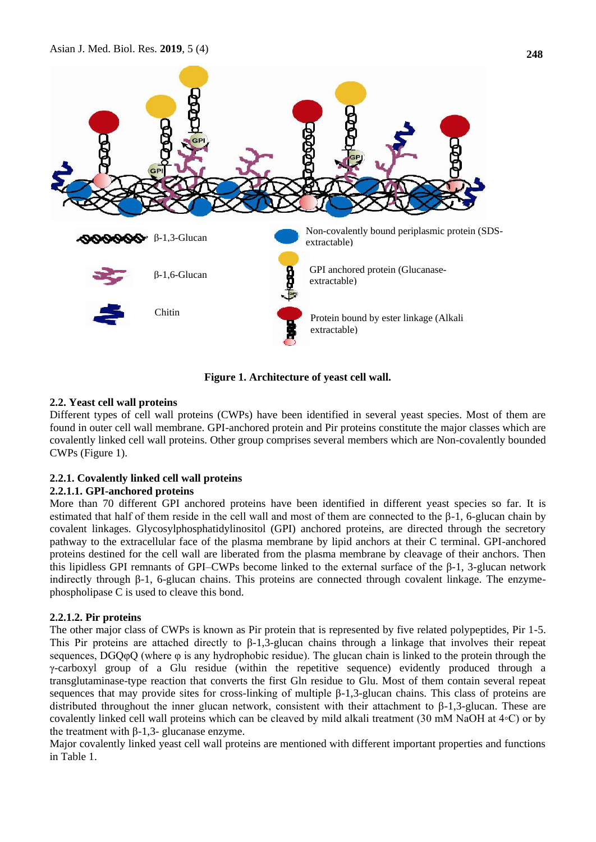

**Figure 1. Architecture of yeast cell wall.**

## **2.2. Yeast cell wall proteins**

Different types of cell wall proteins (CWPs) have been identified in several yeast species. Most of them are found in outer cell wall membrane. GPI-anchored protein and Pir proteins constitute the major classes which are covalently linked cell wall proteins. Other group comprises several members which are Non-covalently bounded CWPs (Figure 1).

## **2.2.1. Covalently linked cell wall proteins**

### **2.2.1.1. GPI-anchored proteins**

More than 70 different GPI anchored proteins have been identified in different yeast species so far. It is estimated that half of them reside in the cell wall and most of them are connected to the β-1, 6-glucan chain by covalent linkages. Glycosylphosphatidylinositol (GPI) anchored proteins, are directed through the secretory pathway to the extracellular face of the plasma membrane by lipid anchors at their C terminal. GPI-anchored proteins destined for the cell wall are liberated from the plasma membrane by cleavage of their anchors. Then this lipidless GPI remnants of GPI–CWPs become linked to the external surface of the β-1, 3-glucan network indirectly through β-1, 6-glucan chains. This proteins are connected through covalent linkage. The enzymephospholipase C is used to cleave this bond.

### **2.2.1.2. Pir proteins**

The other major class of CWPs is known as Pir protein that is represented by five related polypeptides, Pir 1-5. This Pir proteins are attached directly to  $\beta$ -1,3-glucan chains through a linkage that involves their repeat sequences,  $\text{DGQ}\phi\text{Q}$  (where  $\varphi$  is any hydrophobic residue). The glucan chain is linked to the protein through the γ-carboxyl group of a Glu residue (within the repetitive sequence) evidently produced through a transglutaminase-type reaction that converts the first Gln residue to Glu. Most of them contain several repeat sequences that may provide sites for cross-linking of multiple β-1,3-glucan chains. This class of proteins are distributed throughout the inner glucan network, consistent with their attachment to β-1,3-glucan. These are covalently linked cell wall proteins which can be cleaved by mild alkali treatment (30 mM NaOH at 4◦C) or by the treatment with  $β-1,3-$  glucanase enzyme.

Major covalently linked yeast cell wall proteins are mentioned with different important properties and functions in Table 1.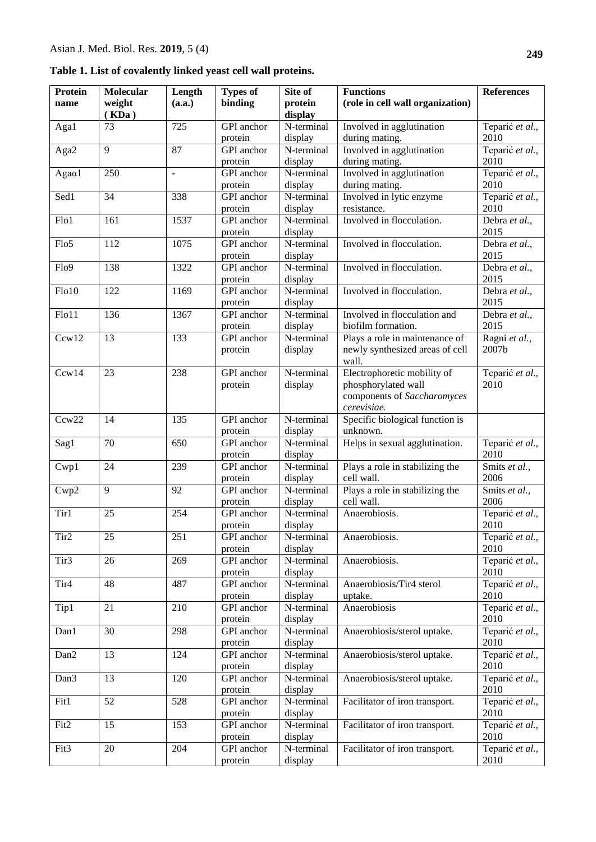| <b>Protein</b>   | <b>Molecular</b> | Length         | <b>Types of</b>              | Site of                  | <b>Functions</b>                 | <b>References</b>       |
|------------------|------------------|----------------|------------------------------|--------------------------|----------------------------------|-------------------------|
| name             | weight           | (a.a.)         | binding                      | protein                  | (role in cell wall organization) |                         |
|                  | (KDa)            |                |                              | display                  |                                  |                         |
| Aga1             | 73               | 725            | <b>GPI</b> anchor            | N-terminal               | Involved in agglutination        | Teparić et al.,         |
|                  |                  |                | protein                      | display                  | during mating.                   | 2010                    |
| Aga2             | 9                | 87             | <b>GPI</b> anchor            | N-terminal               | Involved in agglutination        | Teparić et al.,         |
|                  |                  |                | protein                      | display                  | during mating.                   | 2010                    |
| Agaa1            | 250              | $\overline{a}$ | GPI anchor                   | N-terminal               | Involved in agglutination        | Teparić et al.,         |
|                  |                  |                | protein                      | display                  | during mating.                   | 2010                    |
| Sed1             | 34               | 338            | GPI anchor                   | N-terminal               | Involved in lytic enzyme         | Teparić et al.,         |
|                  |                  |                | protein                      | display                  | resistance.                      | 2010                    |
| Flo1             | 161              | 1537           | GPI anchor                   | N-terminal               | Involved in flocculation.        | Debra et al.,           |
|                  |                  |                | protein                      | display                  |                                  | 2015                    |
| Flo5             | 112              | 1075           | GPI anchor                   | N-terminal               | Involved in flocculation.        | Debra et al.,<br>2015   |
|                  |                  |                | protein<br><b>GPI</b> anchor | display<br>N-terminal    | Involved in flocculation.        |                         |
| Flo9             | 138              | 1322           |                              |                          |                                  | Debra et al.,<br>2015   |
| Flo10            | 122              | 1169           | protein<br><b>GPI</b> anchor | display<br>$N$ -terminal | Involved in flocculation.        | Debra et al.,           |
|                  |                  |                | protein                      | display                  |                                  | 2015                    |
| Flo11            | 136              | 1367           | GPI anchor                   | N-terminal               | Involved in flocculation and     | Debra et al.,           |
|                  |                  |                | protein                      | display                  | biofilm formation.               | 2015                    |
| Ccw12            | 13               | 133            | <b>GPI</b> anchor            | N-terminal               | Plays a role in maintenance of   | Ragni et al.,           |
|                  |                  |                | protein                      | display                  | newly synthesized areas of cell  | 2007b                   |
|                  |                  |                |                              |                          | wall.                            |                         |
| Ccw14            | 23               | 238            | <b>GPI</b> anchor            | N-terminal               | Electrophoretic mobility of      | Teparić et al.,         |
|                  |                  |                | protein                      | display                  | phosphorylated wall              | 2010                    |
|                  |                  |                |                              |                          | components of Saccharomyces      |                         |
|                  |                  |                |                              |                          | cerevisiae.                      |                         |
| $Cc$ w22         | 14               | 135            | GPI anchor                   | N-terminal               | Specific biological function is  |                         |
|                  |                  |                | protein                      | display                  | unknown.                         |                         |
| Sag1             | 70               | 650            | GPI anchor                   | $N$ -terminal            | Helps in sexual agglutination.   | Teparić et al.,         |
|                  |                  |                | protein                      | display                  |                                  | 2010                    |
| Cwp1             | 24               | 239            | GPI anchor                   | $N$ -terminal            | Plays a role in stabilizing the  | Smits et al.,           |
|                  |                  |                | protein                      | display                  | cell wall.                       | 2006                    |
| Cwp2             | 9                | 92             | GPI anchor                   | N-terminal               | Plays a role in stabilizing the  | Smits et al.,           |
|                  |                  |                | protein                      | display                  | cell wall.                       | 2006                    |
| Tir1             | 25               | 254            | GPI anchor                   | N-terminal               | Anaerobiosis.                    | Teparić et al.,         |
|                  |                  |                | protein                      | display                  |                                  | 2010                    |
| Tir2             | 25               | 251            | <b>GPI</b> anchor            | N-terminal               | Anaerobiosis.                    | Teparić et al.,         |
|                  |                  |                | protein                      | display                  |                                  | 2010                    |
| Tir <sub>3</sub> | 26               | 269            | <b>GPI</b> anchor            | N-terminal               | Anaerobiosis.                    | Teparić et al.,         |
|                  |                  |                | protein                      | display                  |                                  | 2010                    |
| Tir <sub>4</sub> | 48               | 487            | GPI anchor                   | N-terminal               | Anaerobiosis/Tir4 sterol         | Teparić et al.,         |
|                  |                  |                | protein                      | display                  | uptake.                          | 2010                    |
| Tip1             | 21               | 210            | <b>GPI</b> anchor            | N-terminal               | Anaerobiosis                     | Teparić et al.,         |
|                  |                  |                | protein                      | display                  |                                  | 2010                    |
| Dan1             | 30               | 298            | <b>GPI</b> anchor            | N-terminal               | Anaerobiosis/sterol uptake.      | Teparić et al.,         |
|                  |                  |                | protein                      | display                  |                                  | 2010                    |
| Dan2             | 13               | 124            | <b>GPI</b> anchor            | N-terminal               | Anaerobiosis/sterol uptake.      | Teparić et al.,         |
|                  |                  |                | protein                      | display                  |                                  | 2010                    |
| Dan3             | 13               | 120            | GPI anchor                   | N-terminal               | Anaerobiosis/sterol uptake.      | Teparić et al.,         |
|                  |                  |                | protein                      | display                  |                                  | 2010                    |
| Fit1             | 52               | 528            | GPI anchor                   | N-terminal               | Facilitator of iron transport.   | Teparić et al.,         |
|                  | 15               |                | protein                      | display                  |                                  | 2010                    |
| Fit2             |                  | 153            | GPI anchor                   | N-terminal               | Facilitator of iron transport.   | Teparić et al.,         |
|                  | 20               | 204            | protein                      | display                  |                                  | 2010                    |
| Fit <sub>3</sub> |                  |                | GPI anchor                   | N-terminal               | Facilitator of iron transport.   | Teparić et al.,<br>2010 |
|                  |                  |                | protein                      | display                  |                                  |                         |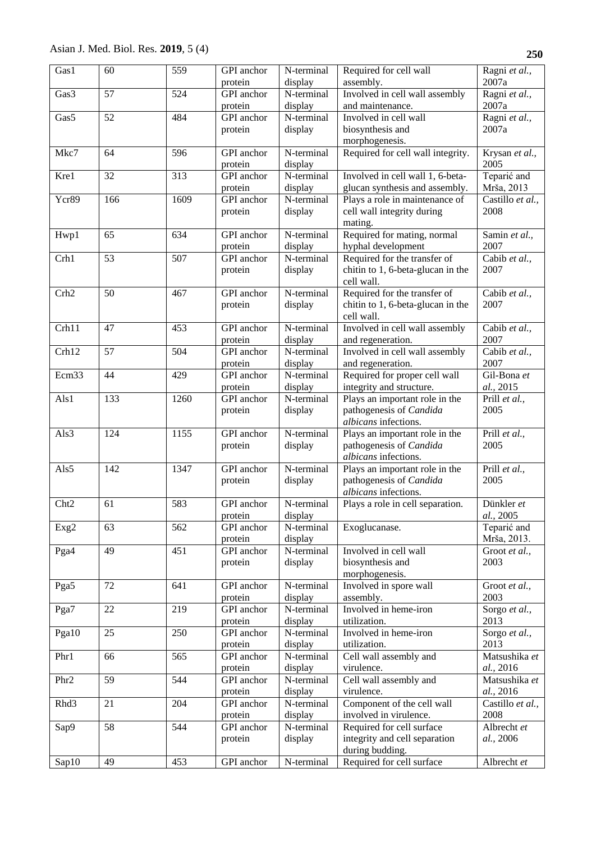| Gas1              | 60  | 559  | GPI anchor<br>protein        | N-terminal<br>display | Required for cell wall<br>assembly.                       | Ragni et al.,<br>2007a |
|-------------------|-----|------|------------------------------|-----------------------|-----------------------------------------------------------|------------------------|
| Gas3              | 57  | 524  | GPI anchor<br>protein        | N-terminal<br>display | Involved in cell wall assembly<br>and maintenance.        | Ragni et al.,<br>2007a |
| Gas5              | 52  | 484  | <b>GPI</b> anchor            | N-terminal            | Involved in cell wall                                     | Ragni et al.,          |
|                   |     |      | protein                      | display               | biosynthesis and<br>morphogenesis.                        | 2007a                  |
| Mkc7              | 64  | 596  | GPI anchor                   | N-terminal            | Required for cell wall integrity.                         | Krysan et al.,         |
|                   |     |      | protein                      | display               |                                                           | 2005                   |
| Kre1              | 32  | 313  | GPI anchor                   | N-terminal            | Involved in cell wall 1, 6-beta-                          | Teparić and            |
|                   |     |      | protein                      | display               | glucan synthesis and assembly.                            | Mrša, 2013             |
| Ycr89             | 166 | 1609 | <b>GPI</b> anchor            | N-terminal            | Plays a role in maintenance of                            | Castillo et al.,       |
|                   |     |      | protein                      | display               | cell wall integrity during<br>mating.                     | 2008                   |
| Hwp1              | 65  | 634  | GPI anchor                   | N-terminal            | Required for mating, normal                               | Samin et al.,          |
|                   |     |      | protein                      | display               | hyphal development                                        | 2007                   |
| Crh1              | 53  | 507  | <b>GPI</b> anchor            | N-terminal            | Required for the transfer of                              | Cabib et al.,          |
|                   |     |      | protein                      | display               | chitin to 1, 6-beta-glucan in the<br>cell wall.           | 2007                   |
| Crh2              | 50  | 467  | GPI anchor                   | N-terminal            | Required for the transfer of                              | Cabib et al.,          |
|                   |     |      | protein                      | display               | chitin to 1, 6-beta-glucan in the                         | 2007                   |
|                   |     |      |                              |                       | cell wall.                                                |                        |
| Crh11             | 47  | 453  | <b>GPI</b> anchor            | N-terminal            | Involved in cell wall assembly                            | Cabib et al.,          |
|                   |     |      | protein                      | display               | and regeneration.                                         | 2007                   |
| Crh12             | 57  | 504  | GPI anchor                   | N-terminal            | Involved in cell wall assembly                            | Cabib et al.,          |
|                   |     |      | protein                      | display               | and regeneration.                                         | 2007                   |
| Ecm <sub>33</sub> | 44  | 429  | GPI anchor                   | N-terminal            | Required for proper cell wall                             | Gil-Bona et            |
|                   |     |      | protein                      | display               | integrity and structure.                                  | al., 2015              |
| Als1              | 133 | 1260 | <b>GPI</b> anchor            | N-terminal            | Plays an important role in the                            | Prill et al.,          |
|                   |     |      | protein                      | display               | pathogenesis of Candida                                   | 2005                   |
|                   |     |      |                              | N-terminal            | albicans infections.                                      |                        |
| Als3              | 124 | 1155 | GPI anchor                   |                       | Plays an important role in the<br>pathogenesis of Candida | Prill et al.,<br>2005  |
|                   |     |      | protein                      | display               | albicans infections.                                      |                        |
| Als5              | 142 | 1347 | GPI anchor                   | N-terminal            | Plays an important role in the                            | Prill et al.,          |
|                   |     |      | protein                      | display               | pathogenesis of Candida                                   | 2005                   |
|                   |     |      |                              |                       | albicans infections.                                      |                        |
| Cht <sub>2</sub>  | 61  | 583  | GPI anchor                   | N-terminal            | Plays a role in cell separation.                          | Dünkler et             |
|                   |     |      | protein                      | display               |                                                           | al., 2005              |
| Exg2              | 63  | 562  | GPI anchor                   | N-terminal            | Exoglucanase.                                             | Teparić and            |
|                   |     |      | protein                      | display               |                                                           | Mrša, 2013.            |
| Pga4              | 49  | 451  | GPI anchor                   | N-terminal            | Involved in cell wall                                     | Groot et al.,          |
|                   |     |      | protein                      | display               | biosynthesis and                                          | 2003                   |
|                   |     |      |                              |                       | morphogenesis.                                            |                        |
| Pga5              | 72  | 641  | GPI anchor                   | N-terminal            | Involved in spore wall                                    | Groot et al.,          |
|                   |     |      | protein                      | display               | assembly.                                                 | 2003                   |
| Pga7              | 22  | 219  | GPI anchor                   | $N$ -terminal         | Involved in heme-iron                                     | Sorgo et al.,<br>2013  |
| Pga10             | 25  | 250  | protein<br><b>GPI</b> anchor | display<br>N-terminal | utilization.<br>Involved in heme-iron                     | Sorgo et al.,          |
|                   |     |      | protein                      | display               | utilization.                                              | 2013                   |
| Phr1              | 66  | 565  | GPI anchor                   | N-terminal            | Cell wall assembly and                                    | Matsushika et          |
|                   |     |      | protein                      | display               | virulence.                                                | al., 2016              |
| Phr2              | 59  | 544  | GPI anchor                   | N-terminal            | Cell wall assembly and                                    | Matsushika et          |
|                   |     |      | protein                      | display               | virulence.                                                | al., 2016              |
| Rhd3              | 21  | 204  | GPI anchor                   | N-terminal            | Component of the cell wall                                | Castillo et al.,       |
|                   |     |      | protein                      | display               | involved in virulence.                                    | 2008                   |
| Sap9              | 58  | 544  | GPI anchor                   | N-terminal            | Required for cell surface                                 | Albrecht et            |
|                   |     |      | protein                      | display               | integrity and cell separation                             | al., 2006              |
|                   | 49  | 453  |                              | N-terminal            | during budding.<br>Required for cell surface              | Albrecht et            |
| Sap10             |     |      | GPI anchor                   |                       |                                                           |                        |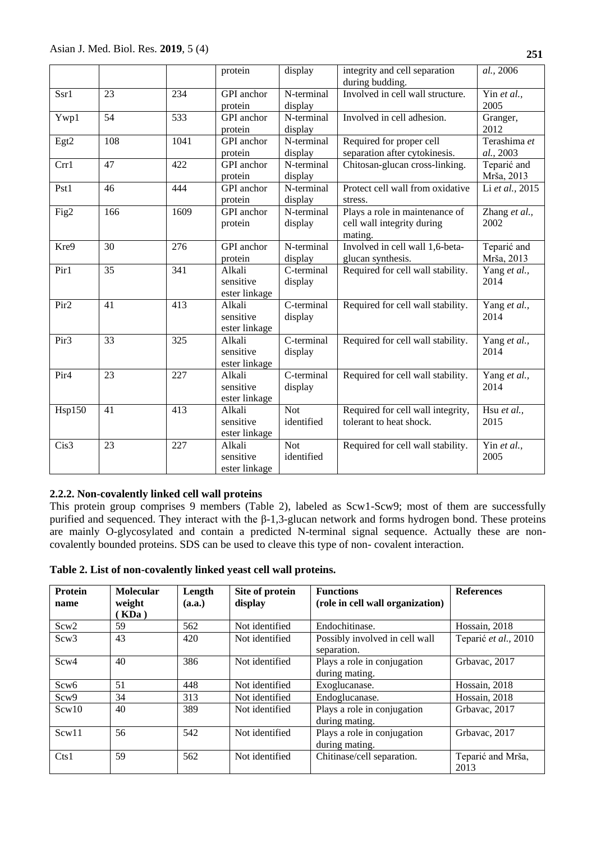|                  |     |      | protein                              | display                  | integrity and cell separation<br>during budding.                        | al., 2006                 |
|------------------|-----|------|--------------------------------------|--------------------------|-------------------------------------------------------------------------|---------------------------|
| Ssr1             | 23  | 234  | <b>GPI</b> anchor<br>protein         | N-terminal<br>display    | Involved in cell wall structure.                                        | Yin et al.,<br>2005       |
| Ywp1             | 54  | 533  | <b>GPI</b> anchor<br>protein         | N-terminal<br>display    | Involved in cell adhesion.                                              | Granger,<br>2012          |
| Egt2             | 108 | 1041 | <b>GPI</b> anchor<br>protein         | N-terminal<br>display    | Required for proper cell<br>separation after cytokinesis.               | Terashima et<br>al., 2003 |
| Crr1             | 47  | 422  | <b>GPI</b> anchor<br>protein         | N-terminal<br>display    | Chitosan-glucan cross-linking.                                          | Teparić and<br>Mrša, 2013 |
| Pst1             | 46  | 444  | <b>GPI</b> anchor<br>protein         | N-terminal<br>display    | Protect cell wall from oxidative<br>stress.                             | Li et al., 2015           |
| Fig2             | 166 | 1609 | <b>GPI</b> anchor<br>protein         | N-terminal<br>display    | Plays a role in maintenance of<br>cell wall integrity during<br>mating. | Zhang et al.,<br>2002     |
| Kre9             | 30  | 276  | <b>GPI</b> anchor<br>protein         | N-terminal<br>display    | Involved in cell wall 1,6-beta-<br>glucan synthesis.                    | Teparić and<br>Mrša, 2013 |
| Pir1             | 35  | 341  | Alkali<br>sensitive<br>ester linkage | C-terminal<br>display    | Required for cell wall stability.                                       | Yang et al.,<br>2014      |
| Pir <sub>2</sub> | 41  | 413  | Alkali<br>sensitive<br>ester linkage | C-terminal<br>display    | Required for cell wall stability.                                       | Yang et al.,<br>2014      |
| Pir <sub>3</sub> | 33  | 325  | Alkali<br>sensitive<br>ester linkage | C-terminal<br>display    | Required for cell wall stability.                                       | Yang et al.,<br>2014      |
| Pir <sub>4</sub> | 23  | 227  | Alkali<br>sensitive<br>ester linkage | C-terminal<br>display    | Required for cell wall stability.                                       | Yang et al.,<br>2014      |
| <b>Hsp150</b>    | 41  | 413  | Alkali<br>sensitive<br>ester linkage | <b>Not</b><br>identified | Required for cell wall integrity,<br>tolerant to heat shock.            | Hsu et al.,<br>2015       |
| Cis3             | 23  | 227  | Alkali<br>sensitive<br>ester linkage | <b>Not</b><br>identified | Required for cell wall stability.                                       | Yin et al.,<br>2005       |

## **2.2.2. Non-covalently linked cell wall proteins**

This protein group comprises 9 members (Table 2), labeled as Scw1-Scw9; most of them are successfully purified and sequenced. They interact with the β-1,3-glucan network and forms hydrogen bond. These proteins are mainly O-glycosylated and contain a predicted N-terminal signal sequence. Actually these are noncovalently bounded proteins. SDS can be used to cleave this type of non- covalent interaction.

**Table 2. List of non-covalently linked yeast cell wall proteins.**

| Protein<br>name  | <b>Molecular</b><br>weight | Length<br>(a.a.) | Site of protein<br>display | <b>Functions</b><br>(role in cell wall organization) | <b>References</b>         |
|------------------|----------------------------|------------------|----------------------------|------------------------------------------------------|---------------------------|
|                  | (KDa)                      |                  |                            |                                                      |                           |
| Scw2             | 59                         | 562              | Not identified             | Endochitinase.                                       | Hossain, 2018             |
| Scw3             | 43                         | 420              | Not identified             | Possibly involved in cell wall<br>separation.        | Teparić et al., 2010      |
| Scw4             | 40                         | 386              | Not identified             | Plays a role in conjugation<br>during mating.        | Grbavac, 2017             |
| Scw <sub>6</sub> | 51                         | 448              | Not identified             | Exoglucanase.                                        | Hossain, 2018             |
| Scw9             | 34                         | 313              | Not identified             | Endoglucanase.                                       | Hossain, 2018             |
| Sew10            | 40                         | 389              | Not identified             | Plays a role in conjugation<br>during mating.        | Grbavac, 2017             |
| Scw11            | 56                         | 542              | Not identified             | Plays a role in conjugation<br>during mating.        | Grbavac, 2017             |
| Cts1             | 59                         | 562              | Not identified             | Chitinase/cell separation.                           | Teparić and Mrša,<br>2013 |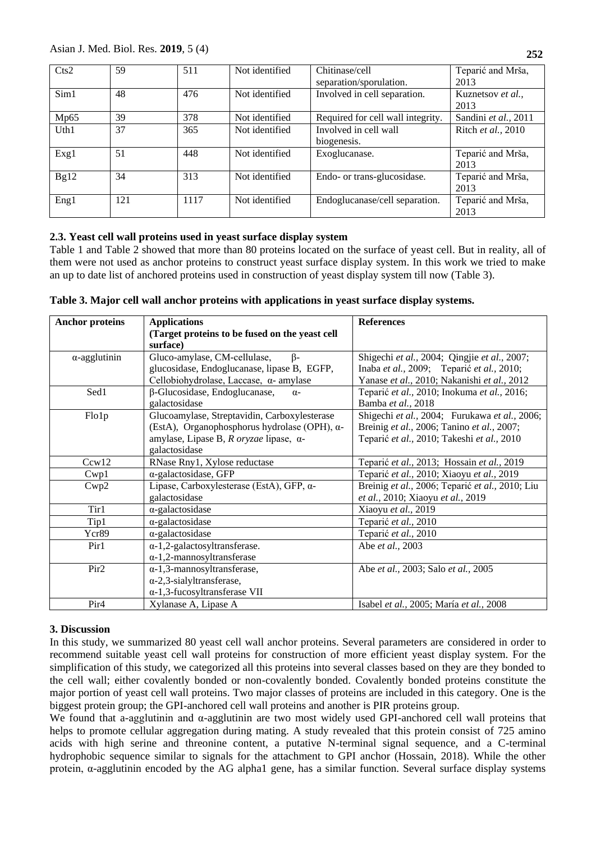| Cts2 | 59  | 511  | Not identified | Chitinase/cell<br>separation/sporulation. | Teparić and Mrša,<br>2013 |
|------|-----|------|----------------|-------------------------------------------|---------------------------|
| Sim1 | 48  | 476  | Not identified | Involved in cell separation.              | Kuznetsov et al.,<br>2013 |
| Mp65 | 39  | 378  | Not identified | Required for cell wall integrity.         | Sandini et al., 2011      |
| Uth1 | 37  | 365  | Not identified | Involved in cell wall<br>biogenesis.      | Ritch et al., 2010        |
| Exg1 | 51  | 448  | Not identified | Exoglucanase.                             | Teparić and Mrša,<br>2013 |
| Bg12 | 34  | 313  | Not identified | Endo- or trans-glucosidase.               | Teparić and Mrša,<br>2013 |
| Eng1 | 121 | 1117 | Not identified | Endoglucanase/cell separation.            | Teparić and Mrša,<br>2013 |

### **2.3. Yeast cell wall proteins used in yeast surface display system**

Table 1 and Table 2 showed that more than 80 proteins located on the surface of yeast cell. But in reality, all of them were not used as anchor proteins to construct yeast surface display system. In this work we tried to make an up to date list of anchored proteins used in construction of yeast display system till now (Table 3).

| <b>Anchor proteins</b> | <b>Applications</b>                                  | <b>References</b>                               |
|------------------------|------------------------------------------------------|-------------------------------------------------|
|                        | (Target proteins to be fused on the yeast cell       |                                                 |
|                        | surface)                                             |                                                 |
| $\alpha$ -agglutinin   | Gluco-amylase, CM-cellulase,<br>$\beta$ -            | Shigechi et al., 2004; Qingjie et al., 2007;    |
|                        | glucosidase, Endoglucanase, lipase B, EGFP,          | Inaba et al., 2009; Teparić et al., 2010;       |
|                        | Cellobiohydrolase, Laccase, $\alpha$ - amylase       | Yanase et al., 2010; Nakanishi et al., 2012     |
| Sed1                   | $\beta$ -Glucosidase, Endoglucanase,<br>$\alpha$ -   | Teparić et al., 2010; Inokuma et al., 2016;     |
|                        | galactosidase                                        | Bamba et al., 2018                              |
| Flo1p                  | Glucoamylase, Streptavidin, Carboxylesterase         | Shigechi et al., 2004; Furukawa et al., 2006;   |
|                        | (EstA), Organophosphorus hydrolase (OPH), $\alpha$ - | Breinig et al., 2006; Tanino et al., 2007;      |
|                        | amylase, Lipase B, R oryzae lipase, $\alpha$ -       | Teparić et al., 2010; Takeshi et al., 2010      |
|                        | galactosidase                                        |                                                 |
| Ccwl2                  | RNase Rny1, Xylose reductase                         | Teparić et al., 2013; Hossain et al., 2019      |
| Cwp1                   | $\alpha$ -galactosidase, GFP                         | Teparić et al., 2010; Xiaoyu et al., 2019       |
| Cwp2                   | Lipase, Carboxylesterase (EstA), GFP, $\alpha$ -     | Breinig et al., 2006; Teparić et al., 2010; Liu |
|                        | galactosidase                                        | et al., 2010; Xiaoyu et al., 2019               |
| Tir1                   | $\alpha$ -galactosidase                              | Xiaoyu et al., 2019                             |
| Tip1                   | $\alpha$ -galactosidase                              | Teparić et al., 2010                            |
| Ycr89                  | $\alpha$ -galactosidase                              | Teparić et al., 2010                            |
| Pir1                   | $\alpha$ -1,2-galactosyltransferase.                 | Abe et al., 2003                                |
|                        | $\alpha$ -1,2-mannosyltransferase                    |                                                 |
| Pir <sub>2</sub>       | $\alpha$ -1,3-mannosyltransferase,                   | Abe et al., 2003; Salo et al., 2005             |
|                        | α-2,3-sialyltransferase,                             |                                                 |
|                        | $\alpha$ -1,3-fucosyltransferase VII                 |                                                 |
| Pir <sub>4</sub>       | Xylanase A, Lipase A                                 | Isabel et al., 2005; María et al., 2008         |

**Table 3. Major cell wall anchor proteins with applications in yeast surface display systems.**

## **3. Discussion**

In this study, we summarized 80 yeast cell wall anchor proteins. Several parameters are considered in order to recommend suitable yeast cell wall proteins for construction of more efficient yeast display system. For the simplification of this study, we categorized all this proteins into several classes based on they are they bonded to the cell wall; either covalently bonded or non-covalently bonded. Covalently bonded proteins constitute the major portion of yeast cell wall proteins. Two major classes of proteins are included in this category. One is the biggest protein group; the GPI-anchored cell wall proteins and another is PIR proteins group.

We found that a-agglutinin and  $\alpha$ -agglutinin are two most widely used GPI-anchored cell wall proteins that helps to promote cellular aggregation during mating. A study revealed that this protein consist of 725 amino acids with high serine and threonine content, a putative N-terminal signal sequence, and a C-terminal hydrophobic sequence similar to signals for the attachment to GPI anchor (Hossain, 2018). While the other protein, α-agglutinin encoded by the AG alpha1 gene, has a similar function. Several surface display systems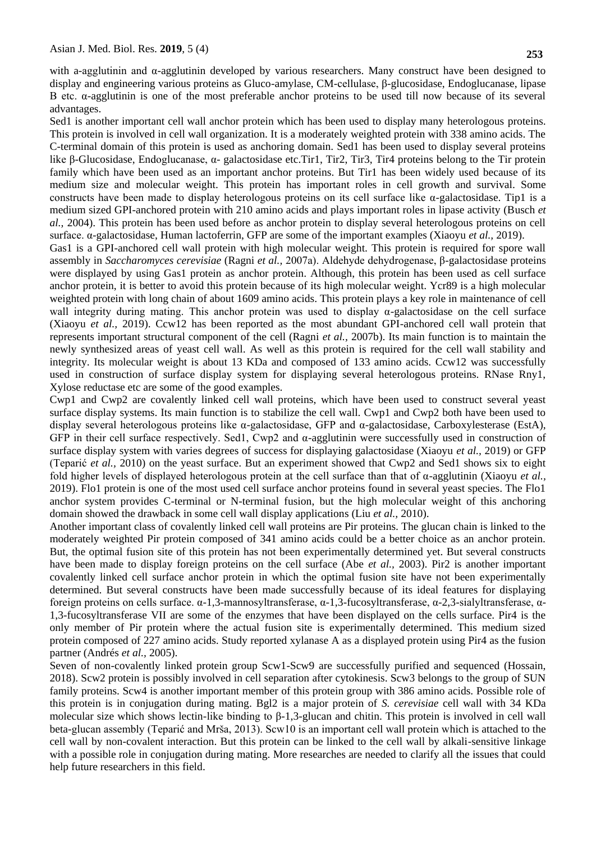with a-agglutinin and α-agglutinin developed by various researchers. Many construct have been designed to display and engineering various proteins as Gluco-amylase, CM-cellulase, β-glucosidase, Endoglucanase, lipase B etc. α-agglutinin is one of the most preferable anchor proteins to be used till now because of its several advantages.

Sed1 is another important cell wall anchor protein which has been used to display many heterologous proteins. This protein is involved in cell wall organization. It is a moderately weighted protein with 338 amino acids. The C-terminal domain of this protein is used as anchoring domain. Sed1 has been used to display several proteins like β-Glucosidase, Endoglucanase, α- galactosidase etc.Tir1, Tir2, Tir3, Tir4 proteins belong to the Tir protein family which have been used as an important anchor proteins. But Tir1 has been widely used because of its medium size and molecular weight. This protein has important roles in cell growth and survival. Some constructs have been made to display heterologous proteins on its cell surface like α-galactosidase. Tip1 is a medium sized GPI-anchored protein with 210 amino acids and plays important roles in lipase activity (Busch *et al.,* 2004). This protein has been used before as anchor protein to display several heterologous proteins on cell surface. α-galactosidase, Human lactoferrin, GFP are some of the important examples (Xiaoyu *et al.,* 2019).

Gas1 is a GPI-anchored cell wall protein with high molecular weight. This protein is required for spore wall assembly in *Saccharomyces cerevisiae* (Ragni *et al.,* 2007a). Aldehyde dehydrogenase, β-galactosidase proteins were displayed by using Gas1 protein as anchor protein. Although, this protein has been used as cell surface anchor protein, it is better to avoid this protein because of its high molecular weight. Ycr89 is a high molecular weighted protein with long chain of about 1609 amino acids. This protein plays a key role in maintenance of cell wall integrity during mating. This anchor protein was used to display  $\alpha$ -galactosidase on the cell surface (Xiaoyu *et al.,* 2019). Ccw12 has been reported as the most abundant GPI-anchored cell wall protein that represents important structural component of the cell (Ragni *et al.,* 2007b). Its main function is to maintain the newly synthesized areas of yeast cell wall. As well as this protein is required for the cell wall stability and integrity. Its molecular weight is about 13 KDa and composed of 133 amino acids. Ccw12 was successfully used in construction of surface display system for displaying several heterologous proteins. RNase Rny1, Xylose reductase etc are some of the good examples.

Cwp1 and Cwp2 are covalently linked cell wall proteins, which have been used to construct several yeast surface display systems. Its main function is to stabilize the cell wall. Cwp1 and Cwp2 both have been used to display several heterologous proteins like α-galactosidase, GFP and α-galactosidase, Carboxylesterase (EstA), GFP in their cell surface respectively. Sed1, Cwp2 and  $\alpha$ -agglutinin were successfully used in construction of surface display system with varies degrees of success for displaying galactosidase (Xiaoyu *et al.,* 2019) or GFP (Teparić *et al.,* 2010) on the yeast surface. But an experiment showed that Cwp2 and Sed1 shows six to eight fold higher levels of displayed heterologous protein at the cell surface than that of α-agglutinin (Xiaoyu *et al.,* 2019). Flo1 protein is one of the most used cell surface anchor proteins found in several yeast species. The Flo1 anchor system provides C-terminal or N-terminal fusion, but the high molecular weight of this anchoring domain showed the drawback in some cell wall display applications (Liu *et al.,* 2010).

Another important class of covalently linked cell wall proteins are Pir proteins. The glucan chain is linked to the moderately weighted Pir protein composed of 341 amino acids could be a better choice as an anchor protein. But, the optimal fusion site of this protein has not been experimentally determined yet. But several constructs have been made to display foreign proteins on the cell surface (Abe *et al.,* 2003). Pir2 is another important covalently linked cell surface anchor protein in which the optimal fusion site have not been experimentally determined. But several constructs have been made successfully because of its ideal features for displaying foreign proteins on cells surface. α-1,3-mannosyltransferase, α-1,3-fucosyltransferase, α-2,3-sialyltransferase, α-1,3-fucosyltransferase VII are some of the enzymes that have been displayed on the cells surface. Pir4 is the only member of Pir protein where the actual fusion site is experimentally determined. This medium sized protein composed of 227 amino acids. Study reported xylanase A as a displayed protein using Pir4 as the fusion partner (Andrés *et al.,* 2005).

Seven of non-covalently linked protein group Scw1-Scw9 are successfully purified and sequenced (Hossain, 2018). Scw2 protein is possibly involved in cell separation after cytokinesis. Scw3 belongs to the group of SUN family proteins. Scw4 is another important member of this protein group with 386 amino acids. Possible role of this protein is in conjugation during mating. Bgl2 is a major protein of *S. cerevisiae* cell wall with 34 KDa molecular size which shows lectin-like binding to β-1,3-glucan and chitin. This protein is involved in cell wall beta-glucan assembly (Teparić and Mrša, 2013). Scw10 is an important cell wall protein which is attached to the cell wall by non-covalent interaction. But this protein can be linked to the cell wall by alkali-sensitive linkage with a possible role in conjugation during mating. More researches are needed to clarify all the issues that could help future researchers in this field.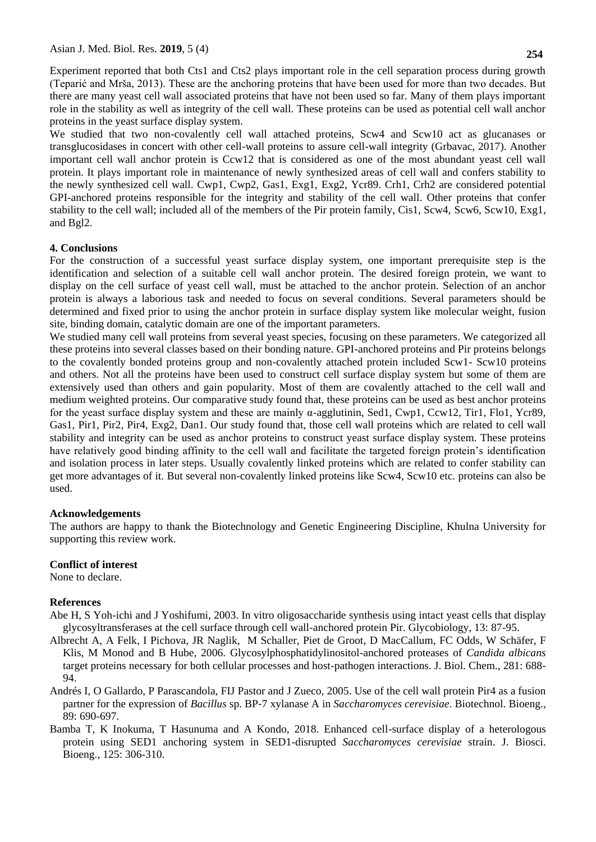Experiment reported that both Cts1 and Cts2 plays important role in the cell separation process during growth (Teparić and Mrša, 2013). These are the anchoring proteins that have been used for more than two decades. But there are many yeast cell wall associated proteins that have not been used so far. Many of them plays important role in the stability as well as integrity of the cell wall. These proteins can be used as potential cell wall anchor proteins in the yeast surface display system.

We studied that two non-covalently cell wall attached proteins, Scw4 and Scw10 act as glucanases or transglucosidases in concert with other cell-wall proteins to assure cell-wall integrity (Grbavac, 2017). Another important cell wall anchor protein is Ccw12 that is considered as one of the most abundant yeast cell wall protein. It plays important role in maintenance of newly synthesized areas of cell wall and confers stability to the newly synthesized cell wall. Cwp1, Cwp2, Gas1, Exg1, Exg2, Ycr89. Crh1, Crh2 are considered potential GPI-anchored proteins responsible for the integrity and stability of the cell wall. Other proteins that confer stability to the cell wall; included all of the members of the Pir protein family, Cis1, Scw4, Scw6, Scw10, Exg1, and Bgl2.

### **4. Conclusions**

For the construction of a successful yeast surface display system, one important prerequisite step is the identification and selection of a suitable cell wall anchor protein. The desired foreign protein, we want to display on the cell surface of yeast cell wall, must be attached to the anchor protein. Selection of an anchor protein is always a laborious task and needed to focus on several conditions. Several parameters should be determined and fixed prior to using the anchor protein in surface display system like molecular weight, fusion site, binding domain, catalytic domain are one of the important parameters.

We studied many cell wall proteins from several yeast species, focusing on these parameters. We categorized all these proteins into several classes based on their bonding nature. GPI-anchored proteins and Pir proteins belongs to the covalently bonded proteins group and non-covalently attached protein included Scw1- Scw10 proteins and others. Not all the proteins have been used to construct cell surface display system but some of them are extensively used than others and gain popularity. Most of them are covalently attached to the cell wall and medium weighted proteins. Our comparative study found that, these proteins can be used as best anchor proteins for the yeast surface display system and these are mainly α-agglutinin, Sed1, Cwp1, Ccw12, Tir1, Flo1, Ycr89, Gas1, Pir1, Pir2, Pir4, Exg2, Dan1. Our study found that, those cell wall proteins which are related to cell wall stability and integrity can be used as anchor proteins to construct yeast surface display system. These proteins have relatively good binding affinity to the cell wall and facilitate the targeted foreign protein's identification and isolation process in later steps. Usually covalently linked proteins which are related to confer stability can get more advantages of it. But several non-covalently linked proteins like Scw4, Scw10 etc. proteins can also be used.

### **Acknowledgements**

The authors are happy to thank the Biotechnology and Genetic Engineering Discipline, Khulna University for supporting this review work.

### **Conflict of interest**

None to declare.

### **References**

- Abe H, S Yoh-ichi and J Yoshifumi, 2003. In vitro oligosaccharide synthesis using intact yeast cells that display glycosyltransferases at the cell surface through cell wall-anchored protein Pir. Glycobiology, 13: 87-95.
- Albrecht A, A Felk, I Pichova, JR Naglik, [M Schaller,](http://www.jbc.org/search?author1=Martin+Schaller&sortspec=date&submit=Submit) [Piet de Groot,](http://www.jbc.org/search?author1=Piet+de+Groot&sortspec=date&submit=Submit) [D MacCallum,](http://www.jbc.org/search?author1=Donna+MacCallum&sortspec=date&submit=Submit) [FC Odds,](http://www.jbc.org/search?author1=Frank+C.+Odds&sortspec=date&submit=Submit) [W Schäfer,](http://www.jbc.org/search?author1=Wilhelm+Sch%C3%A4fer&sortspec=date&submit=Submit) [F](http://www.jbc.org/search?author1=Frans+Klis&sortspec=date&submit=Submit)  [Klis,](http://www.jbc.org/search?author1=Frans+Klis&sortspec=date&submit=Submit) [M Monod](http://www.jbc.org/search?author1=Michel+Monod&sortspec=date&submit=Submit) and [B Hube](http://www.jbc.org/search?author1=Bernhard+Hube&sortspec=date&submit=Submit)*,* 2006. Glycosylphosphatidylinositol-anchored proteases of *Candida albicans* target proteins necessary for both cellular processes and host-pathogen interactions. J. Biol. Chem., 281: 688- 94.
- Andrés I, O Gallardo, P Parascandola, FIJ Pastor and J Zueco, 2005. Use of the cell wall protein Pir4 as a fusion partner for the expression of *Bacillus* sp. BP‐7 xylanase A in *Saccharomyces cerevisiae*. Biotechnol. Bioeng., 89: 690-697.
- Bamba T, K Inokuma, T Hasunuma and A Kondo, 2018. Enhanced cell-surface display of a heterologous protein using SED1 anchoring system in SED1-disrupted *Saccharomyces cerevisiae* strain. J. Biosci. Bioeng., 125: 306-310.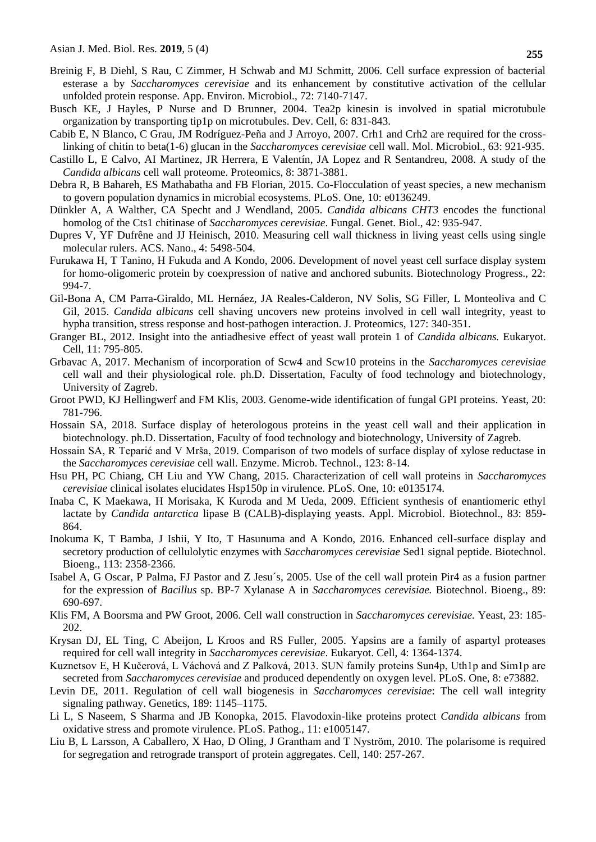- Breinig F, B Diehl, S Rau, C Zimmer, H Schwab and MJ Schmitt, 2006. Cell surface expression of bacterial esterase a by *Saccharomyces cerevisiae* and its enhancement by constitutive activation of the cellular unfolded protein response. App. Environ. Microbiol., 72: 7140-7147.
- Busch KE, J Hayles, P Nurse and D Brunner, 2004. Tea2p kinesin is involved in spatial microtubule organization by transporting tip1p on microtubules. Dev. Cell, 6: 831-843.
- Cabib E, N Blanco, C Grau, JM Rodríguez-Peña and J Arroyo, 2007. Crh1 and Crh2 are required for the crosslinking of chitin to beta(1-6) glucan in the *Saccharomyces cerevisiae* cell wall. Mol. Microbiol., 63: 921-935.
- Castillo L, E Calvo, AI Martinez, JR Herrera, E Valentín, JA Lopez and R Sentandreu, 2008. A study of the *Candida albicans* cell wall proteome. Proteomics, 8: 3871-3881.
- Debra R, B Bahareh, ES Mathabatha and FB Florian, 2015. Co-Flocculation of yeast species, a new mechanism to govern population dynamics in microbial ecosystems. PLoS. One, 10: e0136249.
- Dünkler A, A Walther, CA Specht and J Wendland, 2005. *Candida albicans CHT3* encodes the functional homolog of the Cts1 chitinase of *Saccharomyces cerevisiae*. Fungal. Genet. Biol., 42: 935-947.
- Dupres V, YF Dufrêne and JJ Heinisch, 2010. Measuring cell wall thickness in living yeast cells using single molecular rulers. ACS. Nano., 4: 5498-504.
- Furukawa H, T Tanino, H Fukuda and A Kondo, 2006. Development of novel yeast cell surface display system for homo-oligomeric protein by coexpression of native and anchored subunits. Biotechnology Progress., 22: 994-7.
- Gil-Bona A, CM Parra-Giraldo, ML Hernáez, JA [Reales-Calderon,](https://www.ncbi.nlm.nih.gov/pubmed/?term=Reales-Calderon%20JA%5BAuthor%5D&cauthor=true&cauthor_uid=26087349) NV [Solis,](https://www.ncbi.nlm.nih.gov/pubmed/?term=Solis%20NV%5BAuthor%5D&cauthor=true&cauthor_uid=26087349) SG [Filler,](https://www.ncbi.nlm.nih.gov/pubmed/?term=Filler%20SG%5BAuthor%5D&cauthor=true&cauthor_uid=26087349) L [Monteoliva](https://www.ncbi.nlm.nih.gov/pubmed/?term=Monteoliva%20L%5BAuthor%5D&cauthor=true&cauthor_uid=26087349) and C [Gil](https://www.ncbi.nlm.nih.gov/pubmed/?term=Gil%20C%5BAuthor%5D&cauthor=true&cauthor_uid=26087349)*,* 2015. *Candida albicans* cell shaving uncovers new proteins involved in cell wall integrity, yeast to hypha transition, stress response and host-pathogen interaction. J. Proteomics, 127: 340-351.
- Granger BL, 2012. Insight into the antiadhesive effect of yeast wall protein 1 of *Candida albicans.* Eukaryot. Cell, 11: 795-805.
- Grbavac A, 2017. Mechanism of incorporation of Scw4 and Scw10 proteins in the *Saccharomyces cerevisiae* cell wall and their physiological role. ph.D. Dissertation, Faculty of food technology and biotechnology, University of Zagreb.
- Groot PWD, KJ Hellingwerf and FM Klis, 2003. Genome-wide identification of fungal GPI proteins. Yeast, 20: 781-796.
- Hossain SA, 2018. Surface display of heterologous proteins in the yeast cell wall and their application in biotechnology. ph.D. Dissertation, Faculty of food technology and biotechnology, University of Zagreb.
- Hossain SA, R Teparić and V Mrša, 2019. Comparison of two models of surface display of xylose reductase in the *Saccharomyces cerevisiae* cell wall. Enzyme. Microb. Technol., 123: 8-14.
- Hsu PH, PC Chiang, CH Liu and YW Chang, 2015. Characterization of cell wall proteins in *Saccharomyces cerevisiae* clinical isolates elucidates Hsp150p in virulence. PLoS. One, 10: e0135174.
- Inaba C, K Maekawa, H Morisaka, K Kuroda and M Ueda, 2009. Efficient synthesis of enantiomeric ethyl lactate by *Candida antarctica* lipase B (CALB)-displaying yeasts. Appl. Microbiol. Biotechnol., 83: 859- 864.
- Inokuma K, T Bamba, J Ishii, Y Ito, T Hasunuma and A Kondo, 2016. Enhanced cell-surface display and secretory production of cellulolytic enzymes with *Saccharomyces cerevisiae* Sed1 signal peptide. Biotechnol. Bioeng., 113: 2358-2366.
- Isabel A, G Oscar, P Palma, FJ Pastor and Z Jesu´s, 2005. Use of the cell wall protein Pir4 as a fusion partner for the expression of *Bacillus* sp. BP-7 Xylanase A in *Saccharomyces cerevisiae.* Biotechnol. Bioeng., 89: 690-697.
- Klis FM, A Boorsma and PW Groot, 2006. Cell wall construction in *Saccharomyces cerevisiae.* Yeast, 23: 185- 202.
- Krysan DJ, EL Ting, C Abeijon, L Kroos and RS Fuller, 2005. Yapsins are a family of aspartyl proteases required for cell wall integrity in *Saccharomyces cerevisiae*. Eukaryot. Cell, 4: 1364-1374.
- Kuznetsov E, H Kučerová, L Váchová and Z Palková, 2013. SUN family proteins Sun4p, Uth1p and Sim1p are secreted from *Saccharomyces cerevisiae* and produced dependently on oxygen level. PLoS. One, 8: e73882.
- Levin DE, 2011. Regulation of cell wall biogenesis in *Saccharomyces cerevisiae*: The cell wall integrity signaling pathway. Genetics, 189: 1145–1175.
- Li L, S Naseem, S Sharma and JB Konopka, 2015. Flavodoxin-like proteins protect *Candida albicans* from oxidative stress and promote virulence. PLoS. Pathog., 11: e1005147.
- Liu B, L Larsson, A Caballero, X Hao, D Oling, J Grantham and T Nyström, 2010. The polarisome is required for segregation and retrograde transport of protein aggregates. Cell, 140: 257-267.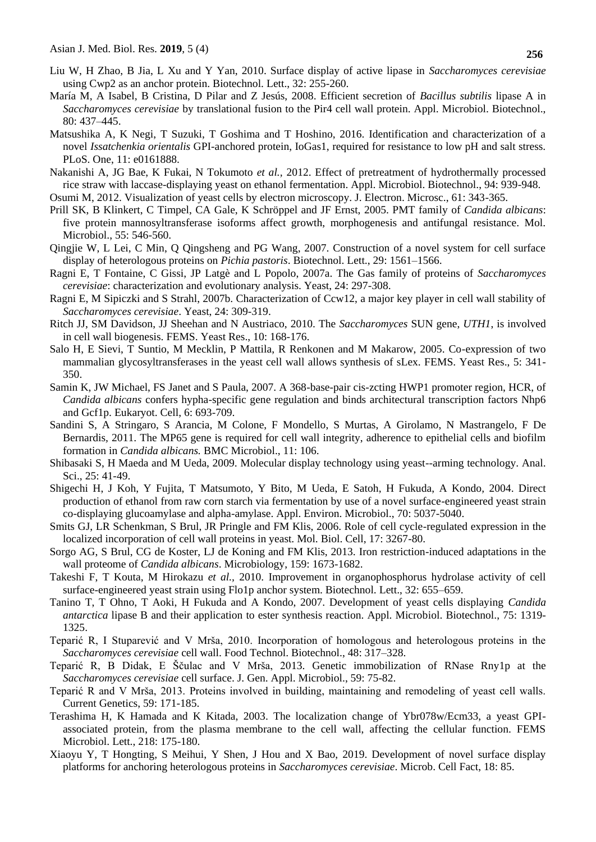- Liu W, H Zhao, B Jia, L Xu and Y Yan, 2010. Surface display of active lipase in *Saccharomyces cerevisiae* using Cwp2 as an anchor protein. Biotechnol. Lett., 32: 255-260.
- María M, A Isabel, B Cristina, D Pilar and Z Jesús, 2008. Efficient secretion of *Bacillus subtilis* lipase A in *Saccharomyces cerevisiae* by translational fusion to the Pir4 cell wall protein. Appl. Microbiol. Biotechnol., 80: 437–445.
- Matsushika A, K Negi, T Suzuki, T Goshima and T Hoshino, 2016. Identification and characterization of a novel *Issatchenkia orientalis* GPI-anchored protein, IoGas1, required for resistance to low pH and salt stress. PLoS. One, 11: e0161888.
- Nakanishi A, JG Bae, K Fukai, N Tokumoto *et al.,* 2012. Effect of pretreatment of hydrothermally processed rice straw with laccase-displaying yeast on ethanol fermentation. Appl. Microbiol. Biotechnol., 94: 939-948.
- Osumi M, 2012. Visualization of yeast cells by electron microscopy. J. Electron. Microsc., 61: 343-365.
- Prill SK, B Klinkert, C Timpel, CA Gale, K Schröppel and JF Ernst, 2005. PMT family of *Candida albicans*: five protein mannosyltransferase isoforms affect growth, morphogenesis and antifungal resistance. Mol. Microbiol., 55: 546-560.
- Qingjie W, L Lei, C Min, Q Qingsheng and PG Wang, 2007. Construction of a novel system for cell surface display of heterologous proteins on *Pichia pastoris*. Biotechnol. Lett., 29: 1561–1566.
- Ragni E, T [Fontaine,](https://www.ncbi.nlm.nih.gov/pubmed/?term=Fontaine%20T%5BAuthor%5D&cauthor=true&cauthor_uid=17397106) C [Gissi,](https://www.ncbi.nlm.nih.gov/pubmed/?term=Gissi%20C%5BAuthor%5D&cauthor=true&cauthor_uid=17397106) JP [Latgè](https://www.ncbi.nlm.nih.gov/pubmed/?term=Latg%C3%A8%20JP%5BAuthor%5D&cauthor=true&cauthor_uid=17397106) and L [Popolo,](https://www.ncbi.nlm.nih.gov/pubmed/?term=Popolo%20L%5BAuthor%5D&cauthor=true&cauthor_uid=17397106) 2007a. The Gas family of proteins of *Saccharomyces cerevisiae*: characterization and evolutionary analysis. Yeast, 24: 297-308.
- Ragni E, M [Sipiczki](https://www.ncbi.nlm.nih.gov/pubmed/?term=Sipiczki%20M%5BAuthor%5D&cauthor=true&cauthor_uid=17315267) and S [Strahl,](https://www.ncbi.nlm.nih.gov/pubmed/?term=Strahl%20S%5BAuthor%5D&cauthor=true&cauthor_uid=17315267) 2007b. Characterization of Ccw12, a major key player in cell wall stability of *Saccharomyces cerevisiae*. Yeast, 24: 309-319.
- Ritch JJ, SM Davidson, JJ Sheehan and N Austriaco, 2010. The *Saccharomyces* SUN gene, *UTH1*, is involved in cell wall biogenesis. FEMS. Yeast Res., 10: 168-176.
- Salo H, E Sievi, T Suntio, M Mecklin, P Mattila, R Renkonen and M Makarow, 2005. Co-expression of two mammalian glycosyltransferases in the yeast cell wall allows synthesis of sLex. FEMS. Yeast Res., 5: 341- 350.
- Samin K, JW Michael, FS Janet and S Paula, 2007. A 368-base-pair cis-zcting HWP1 promoter region, HCR, of *Candida albicans* confers hypha-specific gene regulation and binds architectural transcription factors Nhp6 and Gcf1p. Eukaryot. Cell, 6: 693-709.
- Sandini S, A Stringaro, S Arancia, M Colone, F [Mondello,](https://www.ncbi.nlm.nih.gov/pubmed/?term=Mondello%20F%5BAuthor%5D&cauthor=true&cauthor_uid=21575184) S [Murtas,](https://www.ncbi.nlm.nih.gov/pubmed/?term=Murtas%20S%5BAuthor%5D&cauthor=true&cauthor_uid=21575184) A [Girolamo,](https://www.ncbi.nlm.nih.gov/pubmed/?term=Girolamo%20A%5BAuthor%5D&cauthor=true&cauthor_uid=21575184) N [Mastrangelo,](https://www.ncbi.nlm.nih.gov/pubmed/?term=Mastrangelo%20N%5BAuthor%5D&cauthor=true&cauthor_uid=21575184) F [De](https://www.ncbi.nlm.nih.gov/pubmed/?term=De%20Bernardis%20F%5BAuthor%5D&cauthor=true&cauthor_uid=21575184)  [Bernardis](https://www.ncbi.nlm.nih.gov/pubmed/?term=De%20Bernardis%20F%5BAuthor%5D&cauthor=true&cauthor_uid=21575184)*,* 2011. The MP65 gene is required for cell wall integrity, adherence to epithelial cells and biofilm formation in *Candida albicans.* BMC Microbiol., 11: 106.
- Shibasaki S, H Maeda and M Ueda, 2009. Molecular display technology using yeast--arming technology. Anal. Sci., 25: 41-49.
- Shigechi H, J Koh, Y Fujita, T Matsumoto, Y Bito, M [Ueda,](https://www.ncbi.nlm.nih.gov/pubmed/?term=Ueda%20M%5BAuthor%5D&cauthor=true&cauthor_uid=15294847) E [Satoh,](https://www.ncbi.nlm.nih.gov/pubmed/?term=Satoh%20E%5BAuthor%5D&cauthor=true&cauthor_uid=15294847) H [Fukuda,](https://www.ncbi.nlm.nih.gov/pubmed/?term=Fukuda%20H%5BAuthor%5D&cauthor=true&cauthor_uid=15294847) A [Kondo](https://www.ncbi.nlm.nih.gov/pubmed/?term=Kondo%20A%5BAuthor%5D&cauthor=true&cauthor_uid=15294847)*,* 2004. Direct production of ethanol from raw corn starch via fermentation by use of a novel surface-engineered yeast strain co-displaying glucoamylase and alpha-amylase. Appl. Environ. Microbiol., 70: 5037-5040.
- Smits GJ, LR Schenkman, S Brul, JR Pringle and FM Klis, 2006. Role of cell cycle-regulated expression in the localized incorporation of cell wall proteins in yeast. Mol. Biol. Cell, 17: 3267-80.
- Sorgo AG, S Brul, CG de Koster, LJ de Koning and FM Klis, 2013. Iron restriction-induced adaptations in the wall proteome of *Candida albicans*. Microbiology, 159: 1673-1682.
- Takeshi F, T Kouta, M Hirokazu *et al.,* 2010. Improvement in organophosphorus hydrolase activity of cell surface-engineered yeast strain using Flo1p anchor system. Biotechnol. Lett., 32: 655–659.
- Tanino T, T Ohno, T Aoki, H Fukuda and A Kondo, 2007. Development of yeast cells displaying *Candida antarctica* lipase B and their application to ester synthesis reaction. Appl. Microbiol. Biotechnol., 75: 1319- 1325.
- Teparić R, I Stuparević and V Mrša, 2010. Incorporation of homologous and heterologous proteins in the *Saccharomyces cerevisiae* cell wall. Food Technol. Biotechnol., 48: 317–328.
- Teparić R, B Didak, E Ščulac and V Mrša, 2013. Genetic immobilization of RNase Rny1p at the *Saccharomyces cerevisiae* cell surface. J. Gen. Appl. Microbiol., 59: 75-82.
- Teparić R and V Mrša, 2013. Proteins involved in building, maintaining and remodeling of yeast cell walls. Current Genetics, 59: 171-185.
- Terashima H, K Hamada and K Kitada, 2003. The localization change of Ybr078w/Ecm33, a yeast GPIassociated protein, from the plasma membrane to the cell wall, affecting the cellular function. FEMS Microbiol. Lett., 218: 175-180.
- Xiaoyu Y, T Hongting, S Meihui, [Y Shen,](https://microbialcellfactories.biomedcentral.com/articles/10.1186/s12934-019-1133-x#auth-4) [J Hou](https://microbialcellfactories.biomedcentral.com/articles/10.1186/s12934-019-1133-x#auth-5) and [X Bao,](https://microbialcellfactories.biomedcentral.com/articles/10.1186/s12934-019-1133-x#auth-6) 2019. Development of novel surface display platforms for anchoring heterologous proteins in *Saccharomyces cerevisiae*. Microb. Cell Fact, 18: 85.